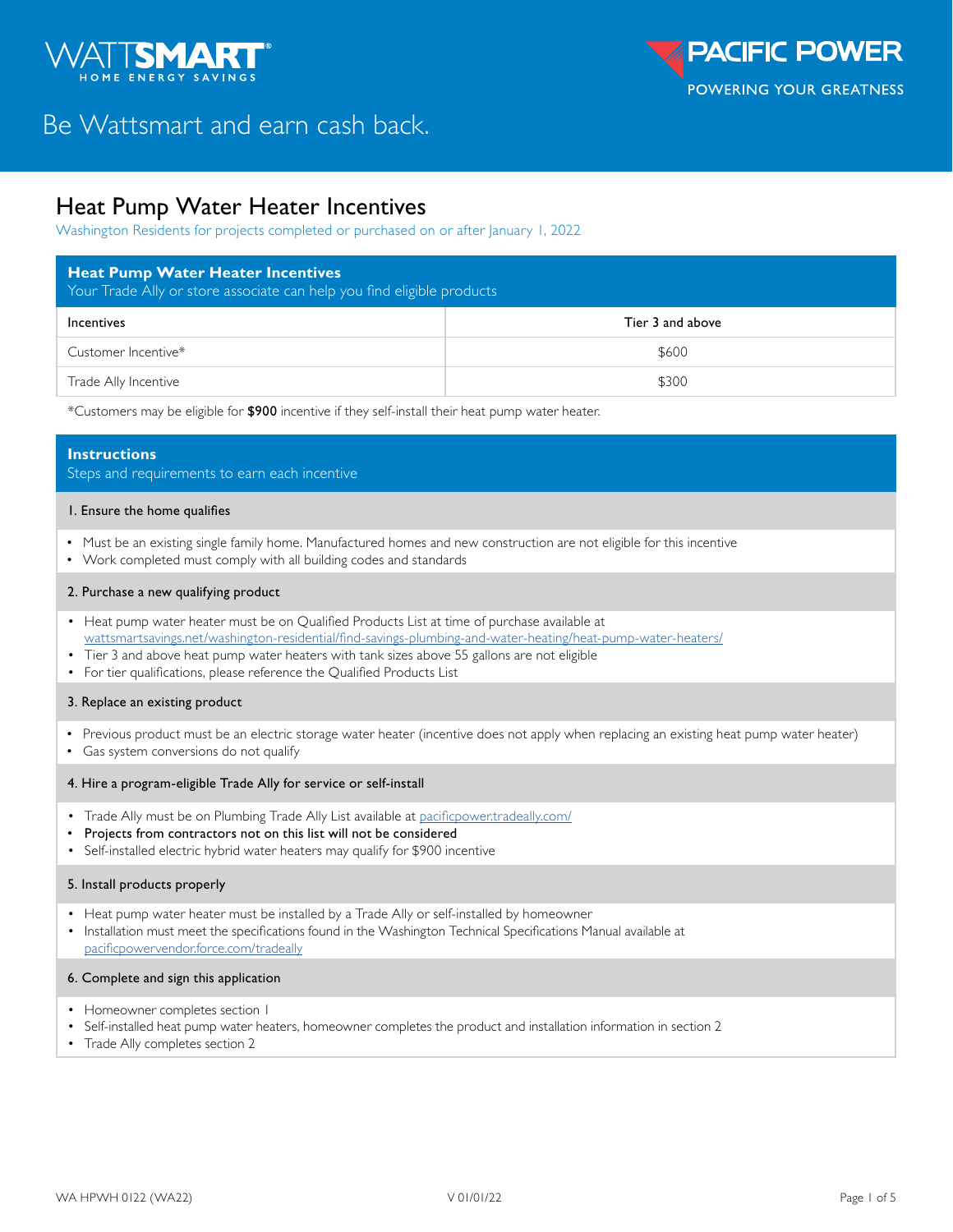

# Be Wattsmart and earn cash back.

## Heat Pump Water Heater Incentives

Washington Residents for projects completed or purchased on or after January 1, 2022

| <b>Heat Pump Water Heater Incentives</b><br>Your Trade Ally or store associate can help you find eligible products |                  |  |  |  |
|--------------------------------------------------------------------------------------------------------------------|------------------|--|--|--|
| Incentives                                                                                                         | Tier 3 and above |  |  |  |
| Customer Incentive*                                                                                                | \$600            |  |  |  |
| Trade Ally Incentive                                                                                               | \$300            |  |  |  |

\*Customers may be eligible for \$900 incentive if they self-install their heat pump water heater.

#### **Instructions**

Steps and requirements to earn each incentive

#### 1. Ensure the home qualifies

- Must be an existing single family home. Manufactured homes and new construction are not eligible for this incentive
- Work completed must comply with all building codes and standards

#### 2. Purchase a new qualifying product

- Heat pump water heater must be on Qualified Products List at time of purchase available at [wattsmartsavings.net/washington-residential/find-savings-plumbing-and-water-heating/heat-pump-water-heaters/](https://wattsmartsavings.net/washington-residential/find-savings-plumbing-and-water-heating/heat-pump-water-heaters/)
- Tier 3 and above heat pump water heaters with tank sizes above 55 gallons are not eligible
- For tier qualifications, please reference the Qualified Products List

#### 3. Replace an existing product

- Previous product must be an electric storage water heater (incentive does not apply when replacing an existing heat pump water heater)
- Gas system conversions do not qualify

#### 4. Hire a program-eligible Trade Ally for service or self-install

- Trade Ally must be on Plumbing Trade Ally List available at [pacificpower.tradeally.com/](https://pacificpower.tradeally.com/)
- Projects from contractors not on this list will not be considered
- Self-installed electric hybrid water heaters may qualify for \$900 incentive

#### 5. Install products properly

- Heat pump water heater must be installed by a Trade Ally or self-installed by homeowner
- Installation must meet the specifications found in the Washington Technical Specifications Manual available at [pacificpowervendor.force.com/tradeally](https://pacificpowervendor.force.com/tradeally/s/login/)

#### 6. Complete and sign this application

- Homeowner completes section I
- Self-installed heat pump water heaters, homeowner completes the product and installation information in section 2
- Trade Ally completes section 2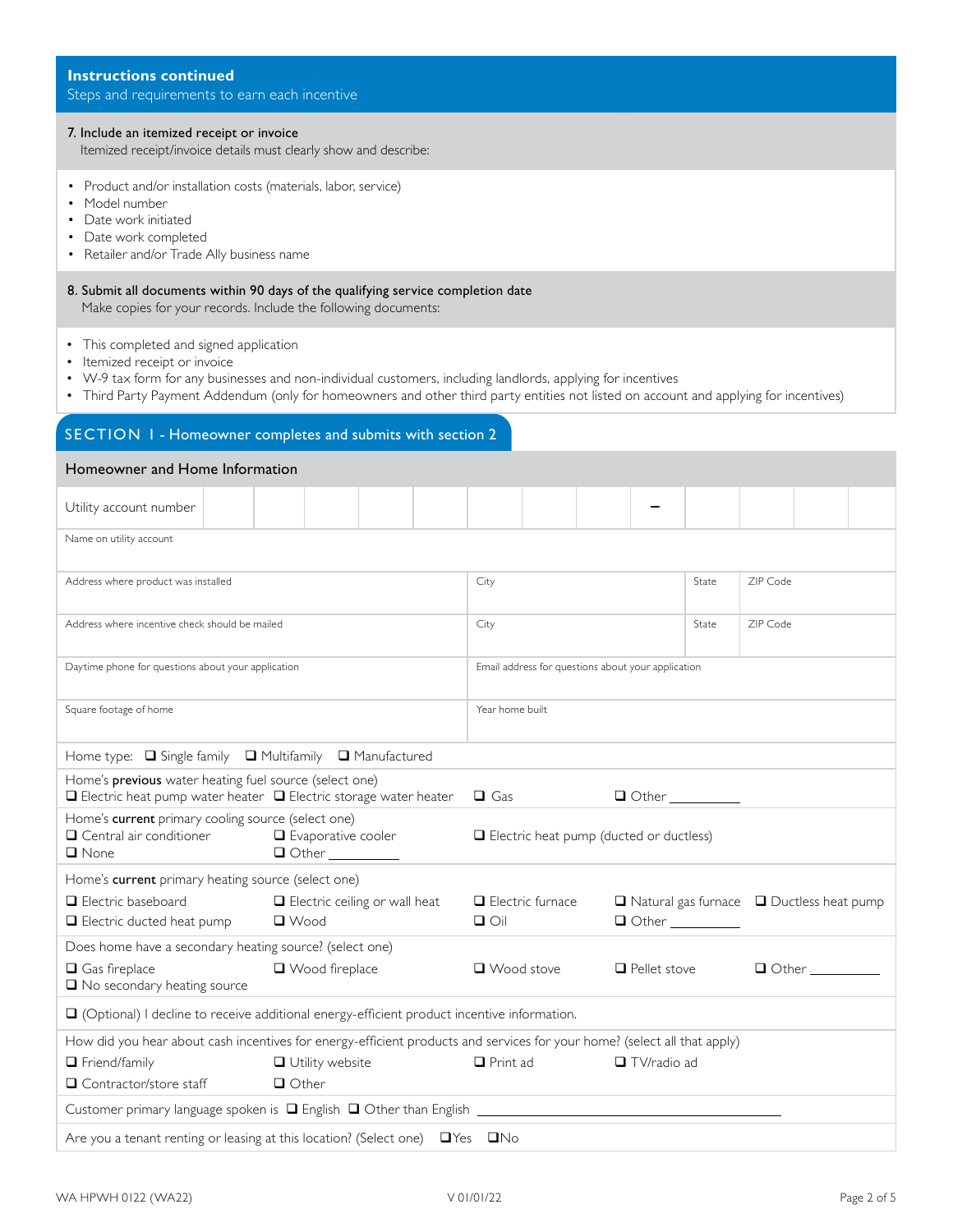| Itemized receipt/invoice details must clearly show and describe:                                                                                                                                                                                                                                                                  |                                       |                                      |  |                                                                                        |                                                    |                                                      |                     |          |          |                                                 |  |
|-----------------------------------------------------------------------------------------------------------------------------------------------------------------------------------------------------------------------------------------------------------------------------------------------------------------------------------|---------------------------------------|--------------------------------------|--|----------------------------------------------------------------------------------------|----------------------------------------------------|------------------------------------------------------|---------------------|----------|----------|-------------------------------------------------|--|
| • Product and/or installation costs (materials, labor, service)<br>Model number<br>Date work initiated<br>• Date work completed<br>• Retailer and/or Trade Ally business name                                                                                                                                                     |                                       |                                      |  |                                                                                        |                                                    |                                                      |                     |          |          |                                                 |  |
| 8. Submit all documents within 90 days of the qualifying service completion date<br>Make copies for your records. Include the following documents:                                                                                                                                                                                |                                       |                                      |  |                                                                                        |                                                    |                                                      |                     |          |          |                                                 |  |
| • This completed and signed application<br>• Itemized receipt or invoice<br>• W-9 tax form for any businesses and non-individual customers, including landlords, applying for incentives<br>• Third Party Payment Addendum (only for homeowners and other third party entities not listed on account and applying for incentives) |                                       |                                      |  |                                                                                        |                                                    |                                                      |                     |          |          |                                                 |  |
| SECTION 1 - Homeowner completes and submits with section 2                                                                                                                                                                                                                                                                        |                                       |                                      |  |                                                                                        |                                                    |                                                      |                     |          |          |                                                 |  |
| Homeowner and Home Information                                                                                                                                                                                                                                                                                                    |                                       |                                      |  |                                                                                        |                                                    |                                                      |                     |          |          |                                                 |  |
| Utility account number                                                                                                                                                                                                                                                                                                            |                                       |                                      |  |                                                                                        |                                                    |                                                      |                     |          |          |                                                 |  |
| Name on utility account                                                                                                                                                                                                                                                                                                           |                                       |                                      |  |                                                                                        |                                                    |                                                      |                     |          |          |                                                 |  |
| Address where product was installed                                                                                                                                                                                                                                                                                               |                                       |                                      |  | City                                                                                   |                                                    |                                                      |                     | State    | ZIP Code |                                                 |  |
| Address where incentive check should be mailed                                                                                                                                                                                                                                                                                    |                                       |                                      |  | City                                                                                   |                                                    |                                                      | State               | ZIP Code |          |                                                 |  |
| Daytime phone for questions about your application                                                                                                                                                                                                                                                                                |                                       |                                      |  |                                                                                        | Email address for questions about your application |                                                      |                     |          |          |                                                 |  |
| Square footage of home                                                                                                                                                                                                                                                                                                            |                                       |                                      |  | Year home built                                                                        |                                                    |                                                      |                     |          |          |                                                 |  |
| Home type: $\Box$ Single family $\Box$ Multifamily                                                                                                                                                                                                                                                                                |                                       | Manufactured                         |  |                                                                                        |                                                    |                                                      |                     |          |          |                                                 |  |
| Home's previous water heating fuel source (select one)<br>$\Box$ Electric heat pump water heater $\Box$ Electric storage water heater                                                                                                                                                                                             |                                       |                                      |  | $\Box$ Gas                                                                             |                                                    |                                                      | $\Box$ Other        |          |          |                                                 |  |
| Home's current primary cooling source (select one)<br>$\Box$ Central air conditioner $\Box$ Evaporative cooler<br>$\Box$ None                                                                                                                                                                                                     | $\Box$ Other $\_\_\_\_\_\_\_\_\_\_\_$ |                                      |  |                                                                                        | $\Box$ Electric heat pump (ducted or ductless)     |                                                      |                     |          |          |                                                 |  |
| Home's current primary heating source (select one)                                                                                                                                                                                                                                                                                |                                       |                                      |  |                                                                                        |                                                    |                                                      |                     |          |          |                                                 |  |
| Electric baseboard<br><b>Electric ducted heat pump</b>                                                                                                                                                                                                                                                                            | $\Box$ Wood                           | $\Box$ Electric ceiling or wall heat |  | $\Box$ Electric furnace<br>$\Box$ $\bigcirc$ il<br>$\Box$ Other $\_\_\_\_\_\_\_\_\_\_$ |                                                    | $\Box$ Natural gas furnace $\Box$ Ductless heat pump |                     |          |          |                                                 |  |
| Does home have a secondary heating source? (select one)                                                                                                                                                                                                                                                                           |                                       |                                      |  |                                                                                        |                                                    |                                                      |                     |          |          |                                                 |  |
| Gas fireplace<br>$\Box$ No secondary heating source                                                                                                                                                                                                                                                                               | □ Wood fireplace                      |                                      |  | $\Box$ Wood stove                                                                      |                                                    |                                                      | $\Box$ Pellet stove |          |          | $\Box$ Other $\_\_\_\_\_\_\_\_\_\_\_\_\_\_\_\_$ |  |
| $\Box$ (Optional) I decline to receive additional energy-efficient product incentive information.                                                                                                                                                                                                                                 |                                       |                                      |  |                                                                                        |                                                    |                                                      |                     |          |          |                                                 |  |
| How did you hear about cash incentives for energy-efficient products and services for your home? (select all that apply)                                                                                                                                                                                                          |                                       |                                      |  |                                                                                        |                                                    |                                                      |                     |          |          |                                                 |  |
| $\Box$ Friend/family                                                                                                                                                                                                                                                                                                              | $\Box$ Utility website                |                                      |  | $\Box$ Print ad                                                                        |                                                    |                                                      | $\Box$ TV/radio ad  |          |          |                                                 |  |
| □ Contractor/store staff                                                                                                                                                                                                                                                                                                          | $\Box$ Other                          |                                      |  |                                                                                        |                                                    |                                                      |                     |          |          |                                                 |  |
| Customer primary language spoken is $\Box$ English $\Box$ Other than English $\_\_$                                                                                                                                                                                                                                               |                                       |                                      |  |                                                                                        |                                                    |                                                      |                     |          |          |                                                 |  |

**Instructions continued**

Steps and requirements to earn each incentive

7. Include an itemized receipt or invoice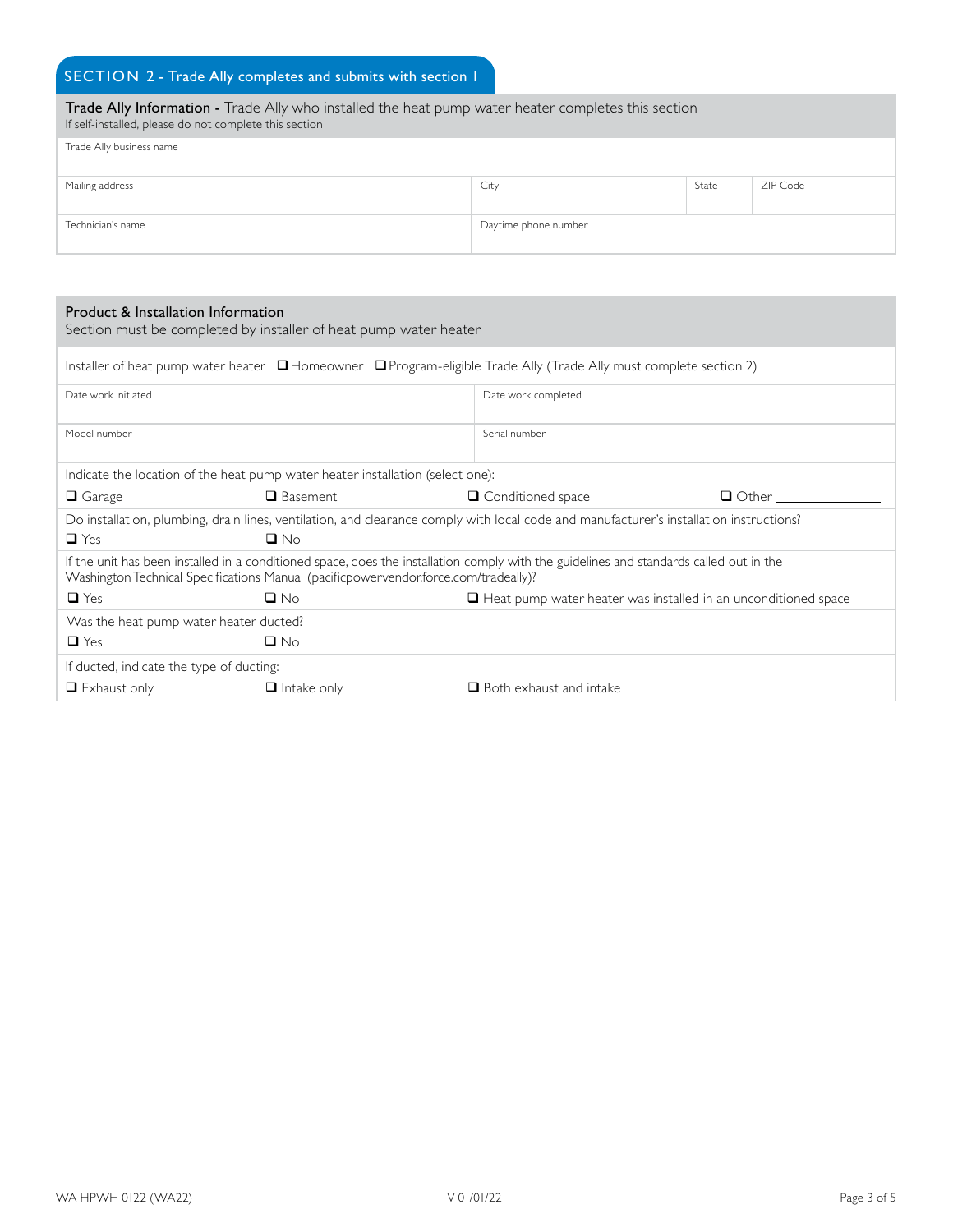### SECTION 2 - Trade Ally completes and submits with section 1

| Trade Ally Information - Trade Ally who installed the heat pump water heater completes this section<br>If self-installed, please do not complete this section |                      |       |          |
|---------------------------------------------------------------------------------------------------------------------------------------------------------------|----------------------|-------|----------|
| Trade Ally business name                                                                                                                                      |                      |       |          |
| Mailing address                                                                                                                                               | City                 | State | ZIP Code |
| Technician's name                                                                                                                                             | Daytime phone number |       |          |

#### Product & Installation Information

| Product & Installation Information                                                                                                                                                                                              | Section must be completed by installer of heat pump water heater |                                                                       |              |  |  |  |
|---------------------------------------------------------------------------------------------------------------------------------------------------------------------------------------------------------------------------------|------------------------------------------------------------------|-----------------------------------------------------------------------|--------------|--|--|--|
| Installer of heat pump water heater $\Box$ Homeowner $\Box$ Program-eligible Trade Ally (Trade Ally must complete section 2)                                                                                                    |                                                                  |                                                                       |              |  |  |  |
| Date work initiated                                                                                                                                                                                                             |                                                                  | Date work completed                                                   |              |  |  |  |
| Model number                                                                                                                                                                                                                    |                                                                  | Serial number                                                         |              |  |  |  |
| Indicate the location of the heat pump water heater installation (select one):                                                                                                                                                  |                                                                  |                                                                       |              |  |  |  |
| $\Box$ Garage                                                                                                                                                                                                                   | <b>Q</b> Basement                                                | □ Conditioned space                                                   | $\Box$ Other |  |  |  |
| Do installation, plumbing, drain lines, ventilation, and clearance comply with local code and manufacturer's installation instructions?<br>$\Box$ Yes<br>$\Box$ No                                                              |                                                                  |                                                                       |              |  |  |  |
| If the unit has been installed in a conditioned space, does the installation comply with the guidelines and standards called out in the<br>Washington Technical Specifications Manual (pacificpowervendor:force.com/tradeally)? |                                                                  |                                                                       |              |  |  |  |
| $\Box$ Yes                                                                                                                                                                                                                      | $\Box$ No                                                        | $\Box$ Heat pump water heater was installed in an unconditioned space |              |  |  |  |
| Was the heat pump water heater ducted?                                                                                                                                                                                          |                                                                  |                                                                       |              |  |  |  |
| $\Box$ Yes                                                                                                                                                                                                                      | $\Box$ No                                                        |                                                                       |              |  |  |  |
| If ducted, indicate the type of ducting:                                                                                                                                                                                        |                                                                  |                                                                       |              |  |  |  |
| $\Box$ Exhaust only                                                                                                                                                                                                             | $\Box$ Intake only                                               | $\Box$ Both exhaust and intake                                        |              |  |  |  |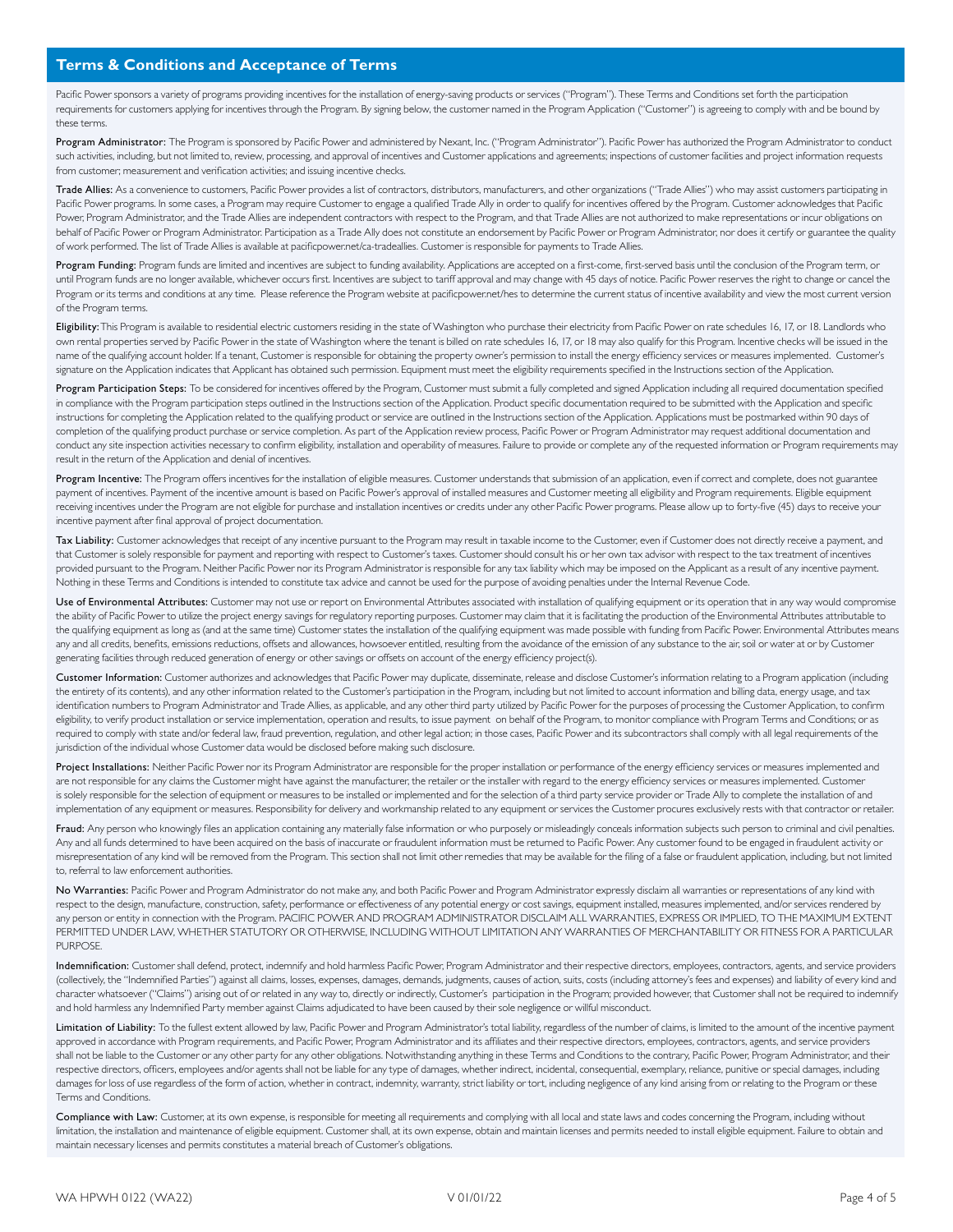Pacific Power sponsors a variety of programs providing incentives for the installation of energy-saving products or services ("Program"). These Terms and Conditions set forth the participation requirements for customers applying for incentives through the Program. By signing below, the customer named in the Program Application ("Customer") is agreeing to comply with and be bound by these terms.

Program Administrator: The Program is sponsored by Pacific Power and administered by Nexant, Inc. ("Program Administrator"). Pacific Power has authorized the Program Administrator to conduct such activities, including, but not limited to, review, processing, and approval of incentives and Customer applications and agreements; inspections of customer facilities and project information requests from customer; measurement and verification activities; and issuing incentive checks.

Trade Allies: As a convenience to customers, Pacific Power provides a list of contractors, distributors, manufacturers, and other organizations ("Trade Allies") who may assist customers participating in Pacific Power programs. In some cases, a Program may require Customer to engage a qualified Trade Ally in order to qualify for incentives offered by the Program. Customer acknowledges that Pacific Power, Program Administrator, and the Trade Allies are independent contractors with respect to the Program, and that Trade Allies are not authorized to make representations or incur obligations on behalf of Pacific Power or Program Administrator. Participation as a Trade Ally does not constitute an endorsement by Pacific Power or Program Administrator, nor does it certify or guarantee the quality of work performed. The list of Trade Allies is available at pacificpower.net/ca-tradeallies. Customer is responsible for payments to Trade Allies.

Program Funding: Program funds are limited and incentives are subject to funding availability. Applications are accepted on a first-come, first-served basis until the conclusion of the Program term, or until Program funds are no longer available, whichever occurs first. Incentives are subject to tariff approval and may change with 45 days of notice. Pacific Power reserves the right to change or cancel the Program or its terms and conditions at any time. Please reference the Program website at pacificpower.net/hes to determine the current status of incentive availability and view the most current version of the Program terms.

Eligibility: This Program is available to residential electric customers residing in the state of Washington who purchase their electricity from Pacific Power on rate schedules 16, 17, or 18. Landlords who own rental properties served by Pacific Power in the state of Washington where the tenant is billed on rate schedules 16, 17, or 18 may also qualify for this Program. Incentive checks will be issued in the name of the qualifying account holder. If a tenant, Customer is responsible for obtaining the property owner's permission to install the energy efficiency services or measures implemented. Customer's signature on the Application indicates that Applicant has obtained such permission. Equipment must meet the eligibility requirements specified in the Instructions section of the Application.

Program Participation Steps: To be considered for incentives offered by the Program, Customer must submit a fully completed and signed Application including all required documentation specified in compliance with the Program participation steps outlined in the Instructions section of the Application. Product specific documentation required to be submitted with the Application and specific instructions for completing the Application related to the qualifying product or service are outlined in the Instructions section of the Application. Applications must be postmarked within 90 days of completion of the qualifying product purchase or service completion. As part of the Application review process, Pacific Power or Program Administrator may request additional documentation and conduct any site inspection activities necessary to confirm eligibility, installation and operability of measures. Failure to provide or complete any of the requested information or Program requirements may result in the return of the Application and denial of incentives.

Program Incentive: The Program offers incentives for the installation of eligible measures. Customer understands that submission of an application, even if correct and complete, does not guarantee payment of incentives. Payment of the incentive amount is based on Pacific Power's approval of installed measures and Customer meeting all eligibility and Program requirements. Eligible equipment receiving incentives under the Program are not eligible for purchase and installation incentives or credits under any other Pacific Power programs. Please allow up to forty-five (45) days to receive your incentive payment after final approval of project documentation.

Tax Liability: Customer acknowledges that receipt of any incentive pursuant to the Program may result in taxable income to the Customer, even if Customer does not directly receive a payment, and that Customer is solely responsible for payment and reporting with respect to Customer's taxes. Customer should consult his or her own tax advisor with respect to the tax treatment of incentives provided pursuant to the Program. Neither Pacific Power nor its Program Administrator is responsible for any tax liability which may be imposed on the Applicant as a result of any incentive payment. Nothing in these Terms and Conditions is intended to constitute tax advice and cannot be used for the purpose of avoiding penalties under the Internal Revenue Code.

Use of Environmental Attributes: Customer may not use or report on Environmental Attributes associated with installation of qualifying equipment or its operation that in any way would compromise the ability of Pacific Power to utilize the project energy savings for regulatory reporting purposes. Customer may claim that it is facilitating the production of the Environmental Attributes attributable to the qualifying equipment as long as (and at the same time) Customer states the installation of the qualifying equipment was made possible with funding from Pacific Power. Environmental Attributes means any and all credits, benefits, emissions reductions, offsets and allowances, howsoever entitled, resulting from the avoidance of the emission of any substance to the air, soil or water at or by Customer generating facilities through reduced generation of energy or other savings or offsets on account of the energy efficiency project(s).

Customer Information: Customer authorizes and acknowledges that Pacific Power may duplicate, disseminate, release and disclose Customer's information relating to a Program application (including the entirety of its contents), and any other information related to the Customer's participation in the Program, including but not limited to account information and billing data, energy usage, and tax identification numbers to Program Administrator and Trade Allies, as applicable, and any other third party utilized by Pacific Power for the purposes of processing the Customer Application, to confirm eligibility, to verify product installation or service implementation, operation and results, to issue payment on behalf of the Program, to monitor compliance with Program Terms and Conditions; or as required to comply with state and/or federal law, fraud prevention, regulation, and other legal action; in those cases, Pacific Power and its subcontractors shall comply with all legal requirements of the jurisdiction of the individual whose Customer data would be disclosed before making such disclosure.

Project Installations: Neither Pacific Power nor its Program Administrator are responsible for the proper installation or performance of the energy efficiency services or measures implemented and are not responsible for any claims the Customer might have against the manufacturer, the retailer or the installer with regard to the energy efficiency services or measures implemented. Customer is solely responsible for the selection of equipment or measures to be installed or implemented and for the selection of a third party service provider or Trade Ally to complete the installation of and implementation of any equipment or measures. Responsibility for delivery and workmanship related to any equipment or services the Customer procures exclusively rests with that contractor or retailer.

Fraud: Any person who knowingly files an application containing any materially false information or who purposely or misleadingly conceals information subjects such person to criminal and civil penalties. Any and all funds determined to have been acquired on the basis of inaccurate or fraudulent information must be returned to Pacific Power. Any customer found to be engaged in fraudulent activity or misrepresentation of any kind will be removed from the Program. This section shall not limit other remedies that may be available for the filing of a false or fraudulent application, including, but not limited to, referral to law enforcement authorities.

No Warranties: Pacific Power and Program Administrator do not make any, and both Pacific Power and Program Administrator expressly disclaim all warranties or representations of any kind with respect to the design, manufacture, construction, safety, performance or effectiveness of any potential energy or cost savings, equipment installed, measures implemented, and/or services rendered by any person or entity in connection with the Program. PACIFIC POWER AND PROGRAM ADMINISTRATOR DISCLAIM ALL WARRANTIES, EXPRESS OR IMPLIED, TO THE MAXIMUM EXTENT PERMITTED UNDER LAW, WHETHER STATUTORY OR OTHERWISE, INCLUDING WITHOUT LIMITATION ANY WARRANTIES OF MERCHANTABILITY OR FITNESS FOR A PARTICULAR PURPOSE.

Indemnification: Customer shall defend, protect, indemnify and hold harmless Pacific Power, Program Administrator and their respective directors, employees, contractors, agents, and service providers (collectively, the "Indemnified Parties") against all claims, losses, expenses, damages, demands, judgments, causes of action, suits, costs (including attorney's fees and expenses) and liability of every kind and character whatsoever ("Claims") arising out of or related in any way to, directly or indirectly, Customer's participation in the Program; provided however, that Customer shall not be required to indemnify and hold harmless any Indemnified Party member against Claims adjudicated to have been caused by their sole negligence or willful misconduct.

Limitation of Liability: To the fullest extent allowed by law, Pacific Power and Program Administrator's total liability, regardless of the number of claims, is limited to the amount of the incentive payment approved in accordance with Program requirements, and Pacific Power, Program Administrator and its affiliates and their respective directors, employees, contractors, agents, and service providers shall not be liable to the Customer or any other party for any other obligations. Notwithstanding anything in these Terms and Conditions to the contrary, Pacific Power, Program Administrator, and their respective directors, officers, employees and/or agents shall not be liable for any type of damages, whether indirect, incidental, consequential, exemplary, reliance, punitive or special damages, including damages for loss of use regardless of the form of action, whether in contract, indemnity, warranty, strict liability or tort, including negligence of any kind arising from or relating to the Program or these Terms and Conditions.

Compliance with Law: Customer, at its own expense, is responsible for meeting all requirements and complying with all local and state laws and codes concerning the Program, including without limitation, the installation and maintenance of eligible equipment. Customer shall, at its own expense, obtain and maintain licenses and permits needed to install eligible equipment. Failure to obtain and maintain necessary licenses and permits constitutes a material breach of Customer's obligations.